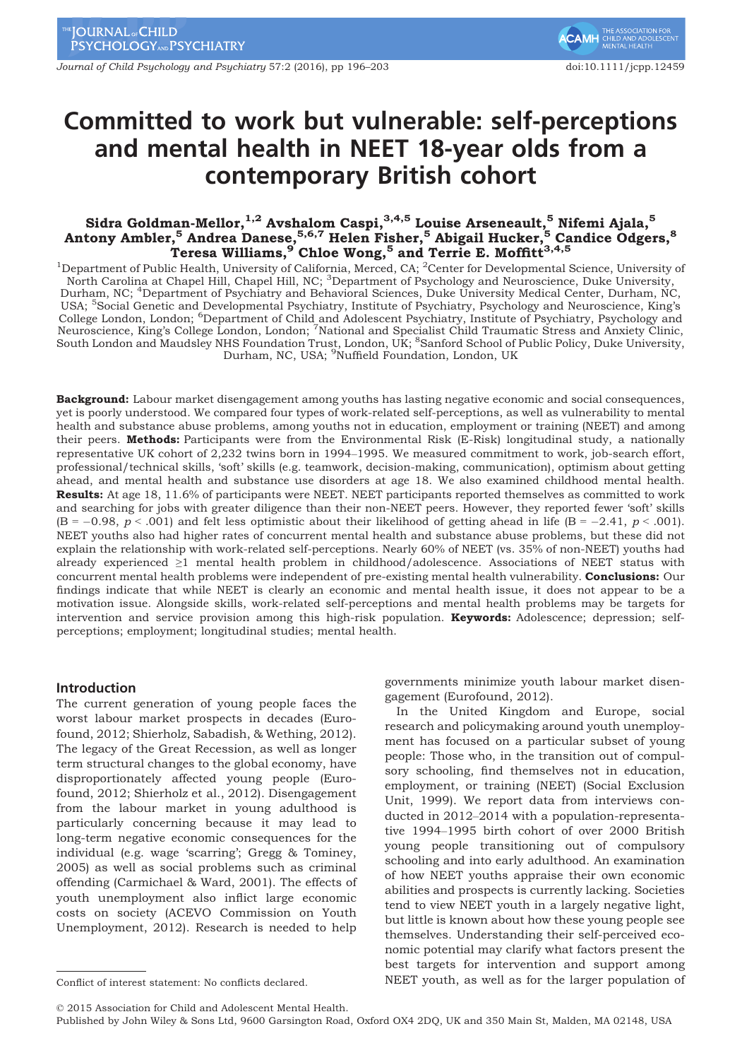Journal of Child Psychology and Psychiatry 57:2 (2016), pp 196–203 doi:10.1111/jcpp.12459

# Committed to work but vulnerable: self-perceptions and mental health in NEET 18-year olds from a contemporary British cohort

# Sidra Goldman-Mellor, $^{1,2}$  Avshalom Caspi, $^{3,4,5}$  Louise Arseneault, $^5$  Nifemi Ajala, $^5$ Antony Ambler,<sup>5</sup> Andrea Danese, 5,6,7 Helen Fisher, 5 Abigail Hucker, 5 Candice Odgers, 8 Teresa Williams,  $9^\circ$  Chloe Wong,  $^5$  and Terrie E. Moffitt $^{3,4,5}$

<sup>1</sup>Department of Public Health, University of California, Merced, CA; <sup>2</sup>Center for Developmental Science, University of North Carolina at Chapel Hill, Chapel Hill, NC; <sup>3</sup>Department of Psychology and Neuroscience, Duke U Durham, NC; <sup>4</sup>Department of Psychiatry and Behavioral Sciences, Duke University Medical Center, Durham, NC, USA; <sup>5</sup>Social Genetic and Developmental Psychiatry, Institute of Psychiatry, Psychology and Neuroscience, King's College London, London; <sup>6</sup>Department of Child and Adolescent Psychiatry, Institute of Psychiatry, Psychology and<br>Neuroscience, King's College London, London; <sup>7</sup>National and Specialist Child Traumatic Stress and Anxiety C Durham, NC, USA; <sup>9</sup>Nuffield Foundation, London, UK

Background: Labour market disengagement among youths has lasting negative economic and social consequences, yet is poorly understood. We compared four types of work-related self-perceptions, as well as vulnerability to mental health and substance abuse problems, among youths not in education, employment or training (NEET) and among their peers. Methods: Participants were from the Environmental Risk (E-Risk) longitudinal study, a nationally representative UK cohort of 2,232 twins born in 1994–1995. We measured commitment to work, job-search effort, professional/technical skills, 'soft' skills (e.g. teamwork, decision-making, communication), optimism about getting ahead, and mental health and substance use disorders at age 18. We also examined childhood mental health. Results: At age 18, 11.6% of participants were NEET. NEET participants reported themselves as committed to work and searching for jobs with greater diligence than their non-NEET peers. However, they reported fewer 'soft' skills  $(B = -0.98, p < .001)$  and felt less optimistic about their likelihood of getting ahead in life  $(B = -2.41, p < .001)$ . NEET youths also had higher rates of concurrent mental health and substance abuse problems, but these did not explain the relationship with work-related self-perceptions. Nearly 60% of NEET (vs. 35% of non-NEET) youths had already experienced ≥1 mental health problem in childhood/adolescence. Associations of NEET status with concurrent mental health problems were independent of pre-existing mental health vulnerability. Conclusions: Our findings indicate that while NEET is clearly an economic and mental health issue, it does not appear to be a motivation issue. Alongside skills, work-related self-perceptions and mental health problems may be targets for intervention and service provision among this high-risk population. Keywords: Adolescence; depression; selfperceptions; employment; longitudinal studies; mental health.

## Introduction

The current generation of young people faces the worst labour market prospects in decades (Eurofound, 2012; Shierholz, Sabadish, & Wething, 2012). The legacy of the Great Recession, as well as longer term structural changes to the global economy, have disproportionately affected young people (Eurofound, 2012; Shierholz et al., 2012). Disengagement from the labour market in young adulthood is particularly concerning because it may lead to long-term negative economic consequences for the individual (e.g. wage 'scarring'; Gregg & Tominey, 2005) as well as social problems such as criminal offending (Carmichael & Ward, 2001). The effects of youth unemployment also inflict large economic costs on society (ACEVO Commission on Youth Unemployment, 2012). Research is needed to help

governments minimize youth labour market disengagement (Eurofound, 2012).

In the United Kingdom and Europe, social research and policymaking around youth unemployment has focused on a particular subset of young people: Those who, in the transition out of compulsory schooling, find themselves not in education, employment, or training (NEET) (Social Exclusion Unit, 1999). We report data from interviews conducted in 2012–2014 with a population-representative 1994–1995 birth cohort of over 2000 British young people transitioning out of compulsory schooling and into early adulthood. An examination of how NEET youths appraise their own economic abilities and prospects is currently lacking. Societies tend to view NEET youth in a largely negative light, but little is known about how these young people see themselves. Understanding their self-perceived economic potential may clarify what factors present the best targets for intervention and support among Conflict of interest statement: No conflicts declared. NEET youth, as well as for the larger population of

© 2015 Association for Child and Adolescent Mental Health.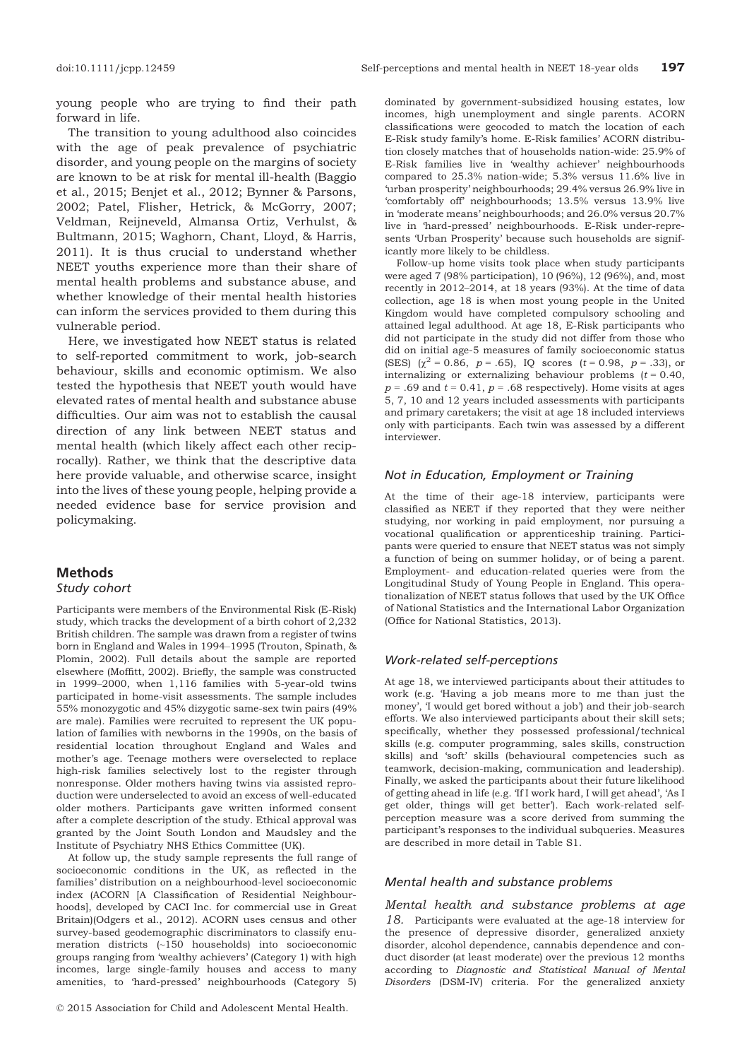young people who are trying to find their path forward in life.

The transition to young adulthood also coincides with the age of peak prevalence of psychiatric disorder, and young people on the margins of society are known to be at risk for mental ill-health (Baggio et al., 2015; Benjet et al., 2012; Bynner & Parsons, 2002; Patel, Flisher, Hetrick, & McGorry, 2007; Veldman, Reijneveld, Almansa Ortiz, Verhulst, & Bultmann, 2015; Waghorn, Chant, Lloyd, & Harris, 2011). It is thus crucial to understand whether NEET youths experience more than their share of mental health problems and substance abuse, and whether knowledge of their mental health histories can inform the services provided to them during this vulnerable period.

Here, we investigated how NEET status is related to self-reported commitment to work, job-search behaviour, skills and economic optimism. We also tested the hypothesis that NEET youth would have elevated rates of mental health and substance abuse difficulties. Our aim was not to establish the causal direction of any link between NEET status and mental health (which likely affect each other reciprocally). Rather, we think that the descriptive data here provide valuable, and otherwise scarce, insight into the lives of these young people, helping provide a needed evidence base for service provision and policymaking.

## Methods Study cohort

Participants were members of the Environmental Risk (E-Risk) study, which tracks the development of a birth cohort of 2,232 British children. The sample was drawn from a register of twins born in England and Wales in 1994–1995 (Trouton, Spinath, & Plomin, 2002). Full details about the sample are reported elsewhere (Moffitt, 2002). Briefly, the sample was constructed in 1999–2000, when 1,116 families with 5-year-old twins participated in home-visit assessments. The sample includes 55% monozygotic and 45% dizygotic same-sex twin pairs (49% are male). Families were recruited to represent the UK population of families with newborns in the 1990s, on the basis of residential location throughout England and Wales and mother's age. Teenage mothers were overselected to replace high-risk families selectively lost to the register through nonresponse. Older mothers having twins via assisted reproduction were underselected to avoid an excess of well-educated older mothers. Participants gave written informed consent after a complete description of the study. Ethical approval was granted by the Joint South London and Maudsley and the Institute of Psychiatry NHS Ethics Committee (UK).

At follow up, the study sample represents the full range of socioeconomic conditions in the UK, as reflected in the families' distribution on a neighbourhood-level socioeconomic index (ACORN [A Classification of Residential Neighbourhoods], developed by CACI Inc. for commercial use in Great Britain)(Odgers et al., 2012). ACORN uses census and other survey-based geodemographic discriminators to classify enumeration districts (~150 households) into socioeconomic groups ranging from 'wealthy achievers' (Category 1) with high incomes, large single-family houses and access to many amenities, to 'hard-pressed' neighbourhoods (Category 5)

© 2015 Association for Child and Adolescent Mental Health.

dominated by government-subsidized housing estates, low incomes, high unemployment and single parents. ACORN classifications were geocoded to match the location of each E-Risk study family's home. E-Risk families' ACORN distribution closely matches that of households nation-wide: 25.9% of E-Risk families live in 'wealthy achiever' neighbourhoods compared to 25.3% nation-wide; 5.3% versus 11.6% live in 'urban prosperity' neighbourhoods; 29.4% versus 26.9% live in 'comfortably off' neighbourhoods; 13.5% versus 13.9% live in 'moderate means' neighbourhoods; and 26.0% versus 20.7% live in 'hard-pressed' neighbourhoods. E-Risk under-represents 'Urban Prosperity' because such households are significantly more likely to be childless.

Follow-up home visits took place when study participants were aged 7 (98% participation), 10 (96%), 12 (96%), and, most recently in 2012–2014, at 18 years (93%). At the time of data collection, age 18 is when most young people in the United Kingdom would have completed compulsory schooling and attained legal adulthood. At age 18, E-Risk participants who did not participate in the study did not differ from those who did on initial age-5 measures of family socioeconomic status (SES)  $(\chi^2 = 0.86, p = .65)$ , IQ scores  $(t = 0.98, p = .33)$ , or internalizing or externalizing behaviour problems  $(t = 0.40,$  $p = .69$  and  $t = 0.41$ ,  $p = .68$  respectively). Home visits at ages 5, 7, 10 and 12 years included assessments with participants and primary caretakers; the visit at age 18 included interviews only with participants. Each twin was assessed by a different interviewer.

## Not in Education, Employment or Training

At the time of their age-18 interview, participants were classified as NEET if they reported that they were neither studying, nor working in paid employment, nor pursuing a vocational qualification or apprenticeship training. Participants were queried to ensure that NEET status was not simply a function of being on summer holiday, or of being a parent. Employment- and education-related queries were from the Longitudinal Study of Young People in England. This operationalization of NEET status follows that used by the UK Office of National Statistics and the International Labor Organization (Office for National Statistics, 2013).

#### Work-related self-perceptions

At age 18, we interviewed participants about their attitudes to work (e.g. 'Having a job means more to me than just the money', 'I would get bored without a job') and their job-search efforts. We also interviewed participants about their skill sets; specifically, whether they possessed professional/technical skills (e.g. computer programming, sales skills, construction skills) and 'soft' skills (behavioural competencies such as teamwork, decision-making, communication and leadership). Finally, we asked the participants about their future likelihood of getting ahead in life (e.g. 'If I work hard, I will get ahead', 'As I get older, things will get better'). Each work-related selfperception measure was a score derived from summing the participant's responses to the individual subqueries. Measures are described in more detail in Table S1.

#### Mental health and substance problems

Mental health and substance problems at age 18. Participants were evaluated at the age-18 interview for the presence of depressive disorder, generalized anxiety disorder, alcohol dependence, cannabis dependence and conduct disorder (at least moderate) over the previous 12 months according to Diagnostic and Statistical Manual of Mental Disorders (DSM-IV) criteria. For the generalized anxiety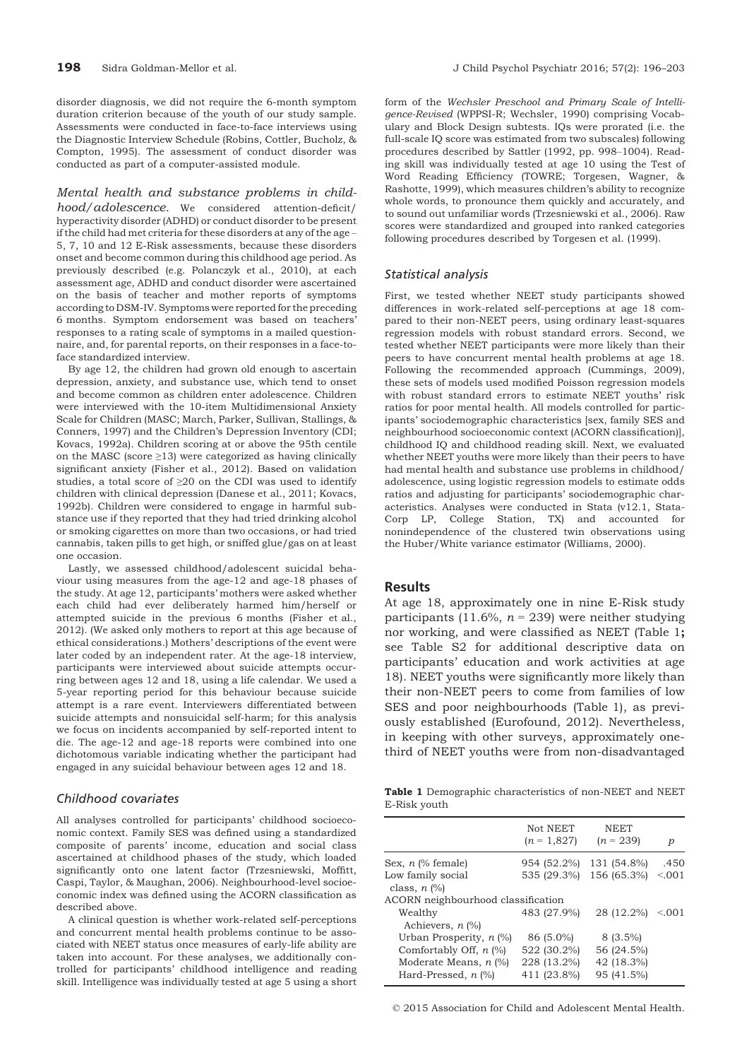disorder diagnosis, we did not require the 6-month symptom duration criterion because of the youth of our study sample. Assessments were conducted in face-to-face interviews using the Diagnostic Interview Schedule (Robins, Cottler, Bucholz, & Compton, 1995). The assessment of conduct disorder was conducted as part of a computer-assisted module.

Mental health and substance problems in childhood/adolescence. We considered attention-deficit/ hyperactivity disorder (ADHD) or conduct disorder to be present if the child had met criteria for these disorders at any of the age – 5, 7, 10 and 12 E-Risk assessments, because these disorders onset and become common during this childhood age period. As previously described (e.g. Polanczyk et al., 2010), at each assessment age, ADHD and conduct disorder were ascertained on the basis of teacher and mother reports of symptoms according to DSM-IV. Symptoms were reported for the preceding 6 months. Symptom endorsement was based on teachers' responses to a rating scale of symptoms in a mailed questionnaire, and, for parental reports, on their responses in a face-toface standardized interview.

By age 12, the children had grown old enough to ascertain depression, anxiety, and substance use, which tend to onset and become common as children enter adolescence. Children were interviewed with the 10-item Multidimensional Anxiety Scale for Children (MASC; March, Parker, Sullivan, Stallings, & Conners, 1997) and the Children's Depression Inventory (CDI; Kovacs, 1992a). Children scoring at or above the 95th centile on the MASC (score  $\geq$ 13) were categorized as having clinically significant anxiety (Fisher et al., 2012). Based on validation studies, a total score of ≥20 on the CDI was used to identify children with clinical depression (Danese et al., 2011; Kovacs, 1992b). Children were considered to engage in harmful substance use if they reported that they had tried drinking alcohol or smoking cigarettes on more than two occasions, or had tried cannabis, taken pills to get high, or sniffed glue/gas on at least one occasion.

Lastly, we assessed childhood/adolescent suicidal behaviour using measures from the age-12 and age-18 phases of the study. At age 12, participants' mothers were asked whether each child had ever deliberately harmed him/herself or attempted suicide in the previous 6 months (Fisher et al., 2012). (We asked only mothers to report at this age because of ethical considerations.) Mothers' descriptions of the event were later coded by an independent rater. At the age-18 interview, participants were interviewed about suicide attempts occurring between ages 12 and 18, using a life calendar. We used a 5-year reporting period for this behaviour because suicide attempt is a rare event. Interviewers differentiated between suicide attempts and nonsuicidal self-harm; for this analysis we focus on incidents accompanied by self-reported intent to die. The age-12 and age-18 reports were combined into one dichotomous variable indicating whether the participant had engaged in any suicidal behaviour between ages 12 and 18.

## Childhood covariates

All analyses controlled for participants' childhood socioeconomic context. Family SES was defined using a standardized composite of parents' income, education and social class ascertained at childhood phases of the study, which loaded significantly onto one latent factor (Trzesniewski, Moffitt, Caspi, Taylor, & Maughan, 2006). Neighbourhood-level socioeconomic index was defined using the ACORN classification as described above.

A clinical question is whether work-related self-perceptions and concurrent mental health problems continue to be associated with NEET status once measures of early-life ability are taken into account. For these analyses, we additionally controlled for participants' childhood intelligence and reading skill. Intelligence was individually tested at age 5 using a short

form of the Wechsler Preschool and Primary Scale of Intelligence-Revised (WPPSI-R; Wechsler, 1990) comprising Vocabulary and Block Design subtests. IQs were prorated (i.e. the full-scale IQ score was estimated from two subscales) following procedures described by Sattler (1992, pp. 998–1004). Reading skill was individually tested at age 10 using the Test of Word Reading Efficiency (TOWRE; Torgesen, Wagner, & Rashotte, 1999), which measures children's ability to recognize whole words, to pronounce them quickly and accurately, and to sound out unfamiliar words (Trzesniewski et al., 2006). Raw scores were standardized and grouped into ranked categories following procedures described by Torgesen et al. (1999).

#### Statistical analysis

First, we tested whether NEET study participants showed differences in work-related self-perceptions at age 18 compared to their non-NEET peers, using ordinary least-squares regression models with robust standard errors. Second, we tested whether NEET participants were more likely than their peers to have concurrent mental health problems at age 18. Following the recommended approach (Cummings, 2009), these sets of models used modified Poisson regression models with robust standard errors to estimate NEET youths' risk ratios for poor mental health. All models controlled for participants' sociodemographic characteristics [sex, family SES and neighbourhood socioeconomic context (ACORN classification)], childhood IQ and childhood reading skill. Next, we evaluated whether NEET youths were more likely than their peers to have had mental health and substance use problems in childhood/ adolescence, using logistic regression models to estimate odds ratios and adjusting for participants' sociodemographic characteristics. Analyses were conducted in Stata (v12.1, Stata-Corp LP, College Station, TX) and accounted for nonindependence of the clustered twin observations using the Huber/White variance estimator (Williams, 2000).

#### Results

At age 18, approximately one in nine E-Risk study participants (11.6%,  $n = 239$ ) were neither studying nor working, and were classified as NEET (Table 1; see Table S2 for additional descriptive data on participants' education and work activities at age 18). NEET youths were significantly more likely than their non-NEET peers to come from families of low SES and poor neighbourhoods (Table 1), as previously established (Eurofound, 2012). Nevertheless, in keeping with other surveys, approximately onethird of NEET youths were from non-disadvantaged

Table 1 Demographic characteristics of non-NEET and NEET E-Risk youth

| Not NEET<br>$(n = 1,827)$          | <b>NEET</b><br>$(n = 239)$ | р       |
|------------------------------------|----------------------------|---------|
| 954 (52.2%)                        | 131 (54.8%)                | .450    |
| 535 (29.3%)                        | 156 (65.3%)                | < 0.001 |
| ACORN neighbourhood classification |                            |         |
| 483 (27.9%)                        | 28 (12.2%)                 | < 0.001 |
| 86 (5.0%)                          | $8(3.5\%)$                 |         |
| 522 (30.2%)                        | 56 (24.5%)                 |         |
| 228 (13.2%)                        | 42 (18.3%)                 |         |
| 411 (23.8%)                        | 95 (41.5%)                 |         |
|                                    |                            |         |

© 2015 Association for Child and Adolescent Mental Health.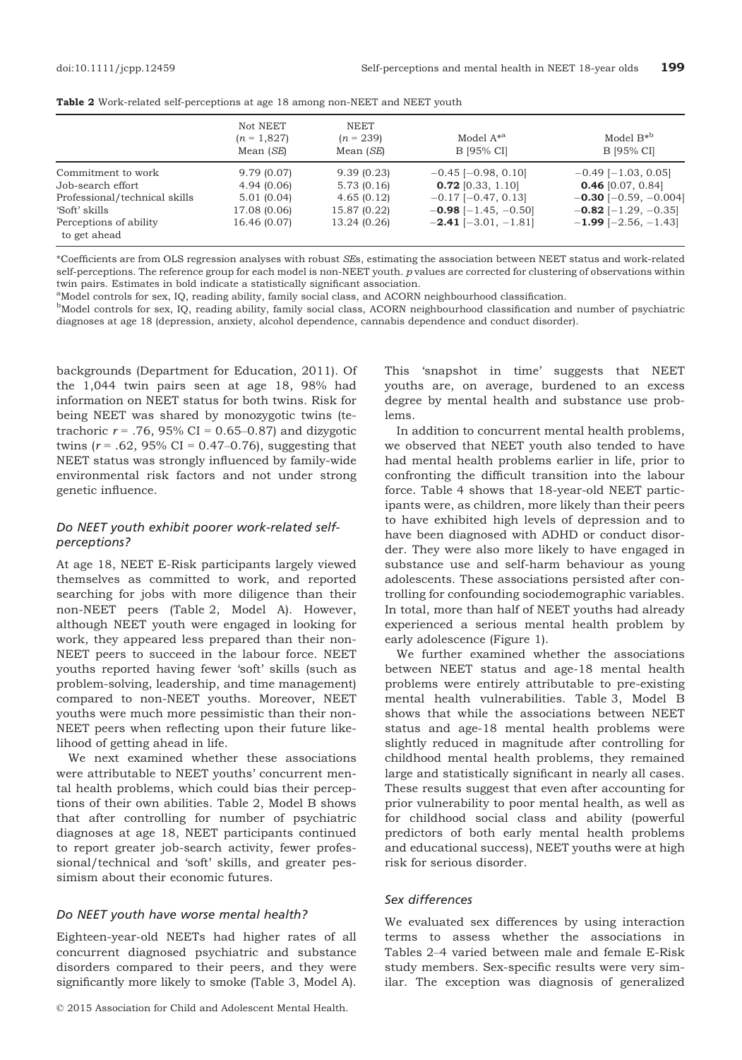to get ahead

|                               | Not NEET<br>$(n = 1,827)$<br>Mean (SE) | <b>NEET</b><br>$(n = 239)$<br>Mean (SE) | Model $A^*$ <sup>a</sup><br>B [95% CI] | Model $B^*$ <sup>b</sup><br>B [95% CI] |
|-------------------------------|----------------------------------------|-----------------------------------------|----------------------------------------|----------------------------------------|
| Commitment to work            | 9.79(0.07)                             | 9.39(0.23)                              | $-0.45$ [ $-0.98$ , 0.10]              | $-0.49$ [ $-1.03$ , 0.05]              |
| Job-search effort             | 4.94(0.06)                             | 5.73(0.16)                              | $0.72$ [0.33, 1.10]                    | $0.46$ [0.07, 0.84]                    |
| Professional/technical skills | 5.01(0.04)                             | 4.65(0.12)                              | $-0.17$ [ $-0.47$ , 0.13]              | $-0.30$ [ $-0.59, -0.004$ ]            |
| 'Soft' skills                 | 17.08 (0.06)                           | 15.87 (0.22)                            | $-0.98$ [-1.45, -0.50]                 | $-0.82$ [-1.29, -0.35]                 |
| Perceptions of ability        | 16.46 (0.07)                           | 13.24 (0.26)                            | $-2.41$ [-3.01, -1.81]                 | $-1.99$ [-2.56, -1.43]                 |
|                               |                                        |                                         |                                        |                                        |

Table 2 Work-related self-perceptions at age 18 among non-NEET and NEET youth

\*Coefficients are from OLS regression analyses with robust SEs, estimating the association between NEET status and work-related self-perceptions. The reference group for each model is non-NEET youth. p values are corrected for clustering of observations within twin pairs. Estimates in bold indicate a statistically significant association.

<sup>a</sup>Model controls for sex, IQ, reading ability, family social class, and ACORN neighbourhood classification.

b Model controls for sex, IQ, reading ability, family social class, ACORN neighbourhood classification and number of psychiatric diagnoses at age 18 (depression, anxiety, alcohol dependence, cannabis dependence and conduct disorder).

backgrounds (Department for Education, 2011). Of the 1,044 twin pairs seen at age 18, 98% had information on NEET status for both twins. Risk for being NEET was shared by monozygotic twins (tetrachoric  $r = .76$ , 95% CI = 0.65–0.87) and dizygotic twins ( $r = .62$ , 95% CI = 0.47–0.76), suggesting that NEET status was strongly influenced by family-wide environmental risk factors and not under strong genetic influence.

## Do NEET youth exhibit poorer work-related selfperceptions?

At age 18, NEET E-Risk participants largely viewed themselves as committed to work, and reported searching for jobs with more diligence than their non-NEET peers (Table 2, Model A). However, although NEET youth were engaged in looking for work, they appeared less prepared than their non-NEET peers to succeed in the labour force. NEET youths reported having fewer 'soft' skills (such as problem-solving, leadership, and time management) compared to non-NEET youths. Moreover, NEET youths were much more pessimistic than their non-NEET peers when reflecting upon their future likelihood of getting ahead in life.

We next examined whether these associations were attributable to NEET youths' concurrent mental health problems, which could bias their perceptions of their own abilities. Table 2, Model B shows that after controlling for number of psychiatric diagnoses at age 18, NEET participants continued to report greater job-search activity, fewer professional/technical and 'soft' skills, and greater pessimism about their economic futures.

#### Do NEET youth have worse mental health?

Eighteen-year-old NEETs had higher rates of all concurrent diagnosed psychiatric and substance disorders compared to their peers, and they were significantly more likely to smoke (Table 3, Model A).

© 2015 Association for Child and Adolescent Mental Health.

This 'snapshot in time' suggests that NEET youths are, on average, burdened to an excess degree by mental health and substance use problems.

In addition to concurrent mental health problems, we observed that NEET youth also tended to have had mental health problems earlier in life, prior to confronting the difficult transition into the labour force. Table 4 shows that 18-year-old NEET participants were, as children, more likely than their peers to have exhibited high levels of depression and to have been diagnosed with ADHD or conduct disorder. They were also more likely to have engaged in substance use and self-harm behaviour as young adolescents. These associations persisted after controlling for confounding sociodemographic variables. In total, more than half of NEET youths had already experienced a serious mental health problem by early adolescence (Figure 1).

We further examined whether the associations between NEET status and age-18 mental health problems were entirely attributable to pre-existing mental health vulnerabilities. Table 3, Model B shows that while the associations between NEET status and age-18 mental health problems were slightly reduced in magnitude after controlling for childhood mental health problems, they remained large and statistically significant in nearly all cases. These results suggest that even after accounting for prior vulnerability to poor mental health, as well as for childhood social class and ability (powerful predictors of both early mental health problems and educational success), NEET youths were at high risk for serious disorder.

## Sex differences

We evaluated sex differences by using interaction terms to assess whether the associations in Tables 2–4 varied between male and female E-Risk study members. Sex-specific results were very similar. The exception was diagnosis of generalized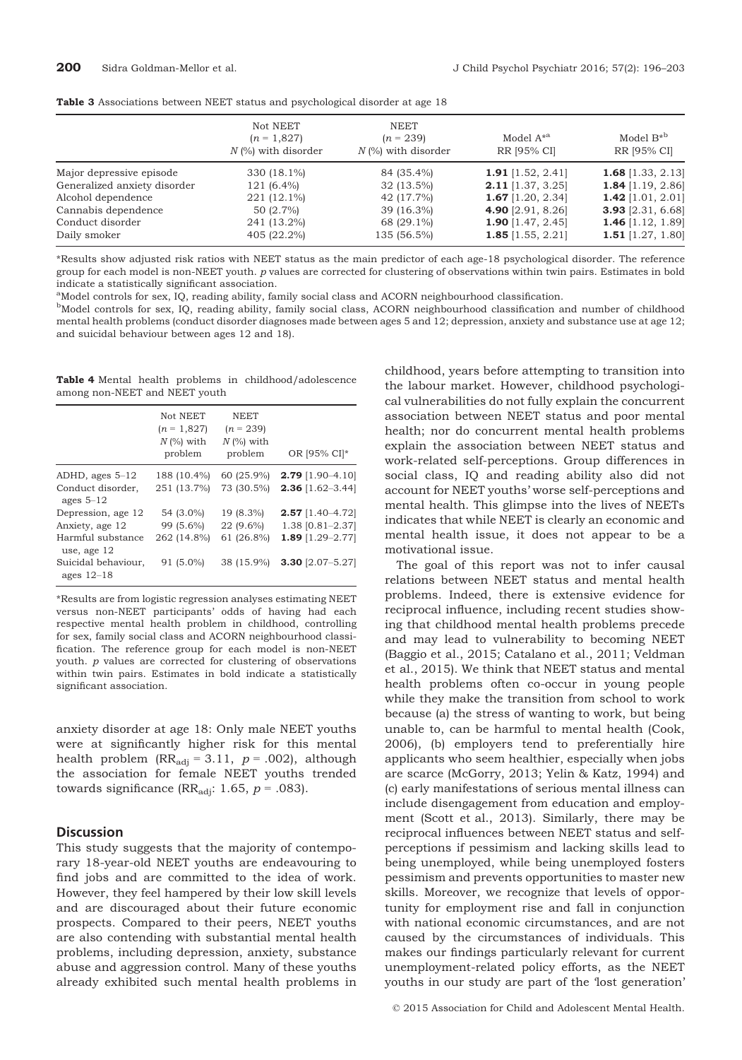|  |  | Table 3 Associations between NEET status and psychological disorder at age 18 |  |  |  |  |  |  |  |  |  |  |
|--|--|-------------------------------------------------------------------------------|--|--|--|--|--|--|--|--|--|--|
|--|--|-------------------------------------------------------------------------------|--|--|--|--|--|--|--|--|--|--|

|                              | Not NEET<br>$(n = 1,827)$<br>$N$ (%) with disorder | NEET<br>$(n = 239)$<br>$N$ (%) with disorder | Model $A^*$ <sup>a</sup><br>RR [95% CI] | Model $B^*$ <sup>b</sup><br>RR [95% CI] |
|------------------------------|----------------------------------------------------|----------------------------------------------|-----------------------------------------|-----------------------------------------|
| Major depressive episode     | 330 (18.1%)                                        | 84 (35.4%)                                   | 1.91 $[1.52, 2.41]$                     | 1.68 $[1.33, 2.13]$                     |
| Generalized anxiety disorder | $121(6.4\%)$                                       | 32 (13.5%)                                   | <b>2.11</b> [1.37, 3.25]                | 1.84 $[1.19, 2.86]$                     |
| Alcohol dependence           | 221 (12.1%)                                        | 42 (17.7%)                                   | 1.67 $[1.20, 2.34]$                     | 1.42 $[1.01, 2.01]$                     |
| Cannabis dependence          | 50 (2.7%)                                          | 39 (16.3%)                                   | <b>4.90</b> [2.91, 8.26]                | 3.93 [2.31, $6.68$ ]                    |
| Conduct disorder             | 241 (13.2%)                                        | 68 (29.1%)                                   | 1.90 $[1.47, 2.45]$                     | 1.46 $[1.12, 1.89]$                     |
| Daily smoker                 | 405 (22.2%)                                        | 135 (56.5%)                                  | <b>1.85</b> [1.55, 2.21]                | 1.51 $[1.27, 1.80]$                     |

\*Results show adjusted risk ratios with NEET status as the main predictor of each age-18 psychological disorder. The reference group for each model is non-NEET youth. p values are corrected for clustering of observations within twin pairs. Estimates in bold indicate a statistically significant association.

<sup>a</sup>Model controls for sex, IQ, reading ability, family social class and ACORN neighbourhood classification.

<sup>b</sup>Model controls for sex, IQ, reading ability, family social class, ACORN neighbourhood classification and number of childhood mental health problems (conduct disorder diagnoses made between ages 5 and 12; depression, anxiety and substance use at age 12; and suicidal behaviour between ages 12 and 18).

Table 4 Mental health problems in childhood/adolescence among non-NEET and NEET youth

|                                     | Not NEET                                 | <b>NEET</b>                            |                      |
|-------------------------------------|------------------------------------------|----------------------------------------|----------------------|
|                                     | $(n = 1,827)$<br>$N$ (%) with<br>problem | $(n = 239)$<br>$N$ (%) with<br>problem | OR [95% CI]*         |
| ADHD, ages $5-12$                   | 188 (10.4%)                              | 60 (25.9%)                             | $2.79$ [1.90-4.10]   |
| Conduct disorder,<br>ages $5-12$    | 251 (13.7%)                              | 73 (30.5%)                             | $2.36$ [1.62-3.44]   |
| Depression, age 12                  | 54 (3.0%)                                | 19 (8.3%)                              | $2.57$ [1.40–4.72]   |
| Anxiety, age 12                     | 99 (5.6%)                                | 22 (9.6%)                              | $1.38$ [0.81-2.37]   |
| Harmful substance<br>use, age 12    | 262 (14.8%)                              | 61 (26.8%)                             | 1.89 $[1.29 - 2.77]$ |
| Suicidal behaviour,<br>ages $12-18$ | 91 (5.0%)                                | 38 (15.9%)                             | 3.30 $[2.07 - 5.27]$ |

\*Results are from logistic regression analyses estimating NEET versus non-NEET participants' odds of having had each respective mental health problem in childhood, controlling for sex, family social class and ACORN neighbourhood classification. The reference group for each model is non-NEET youth. p values are corrected for clustering of observations within twin pairs. Estimates in bold indicate a statistically significant association.

anxiety disorder at age 18: Only male NEET youths were at significantly higher risk for this mental health problem  $(RR_{\text{adj}} = 3.11, p = .002)$ , although the association for female NEET youths trended towards significance (RR<sub>adj</sub>: 1.65,  $p = .083$ ).

## **Discussion**

This study suggests that the majority of contemporary 18-year-old NEET youths are endeavouring to find jobs and are committed to the idea of work. However, they feel hampered by their low skill levels and are discouraged about their future economic prospects. Compared to their peers, NEET youths are also contending with substantial mental health problems, including depression, anxiety, substance abuse and aggression control. Many of these youths already exhibited such mental health problems in

childhood, years before attempting to transition into the labour market. However, childhood psychological vulnerabilities do not fully explain the concurrent association between NEET status and poor mental health; nor do concurrent mental health problems explain the association between NEET status and work-related self-perceptions. Group differences in social class, IQ and reading ability also did not account for NEET youths' worse self-perceptions and mental health. This glimpse into the lives of NEETs indicates that while NEET is clearly an economic and mental health issue, it does not appear to be a motivational issue.

The goal of this report was not to infer causal relations between NEET status and mental health problems. Indeed, there is extensive evidence for reciprocal influence, including recent studies showing that childhood mental health problems precede and may lead to vulnerability to becoming NEET (Baggio et al., 2015; Catalano et al., 2011; Veldman et al., 2015). We think that NEET status and mental health problems often co-occur in young people while they make the transition from school to work because (a) the stress of wanting to work, but being unable to, can be harmful to mental health (Cook, 2006), (b) employers tend to preferentially hire applicants who seem healthier, especially when jobs are scarce (McGorry, 2013; Yelin & Katz, 1994) and (c) early manifestations of serious mental illness can include disengagement from education and employment (Scott et al., 2013). Similarly, there may be reciprocal influences between NEET status and selfperceptions if pessimism and lacking skills lead to being unemployed, while being unemployed fosters pessimism and prevents opportunities to master new skills. Moreover, we recognize that levels of opportunity for employment rise and fall in conjunction with national economic circumstances, and are not caused by the circumstances of individuals. This makes our findings particularly relevant for current unemployment-related policy efforts, as the NEET youths in our study are part of the 'lost generation'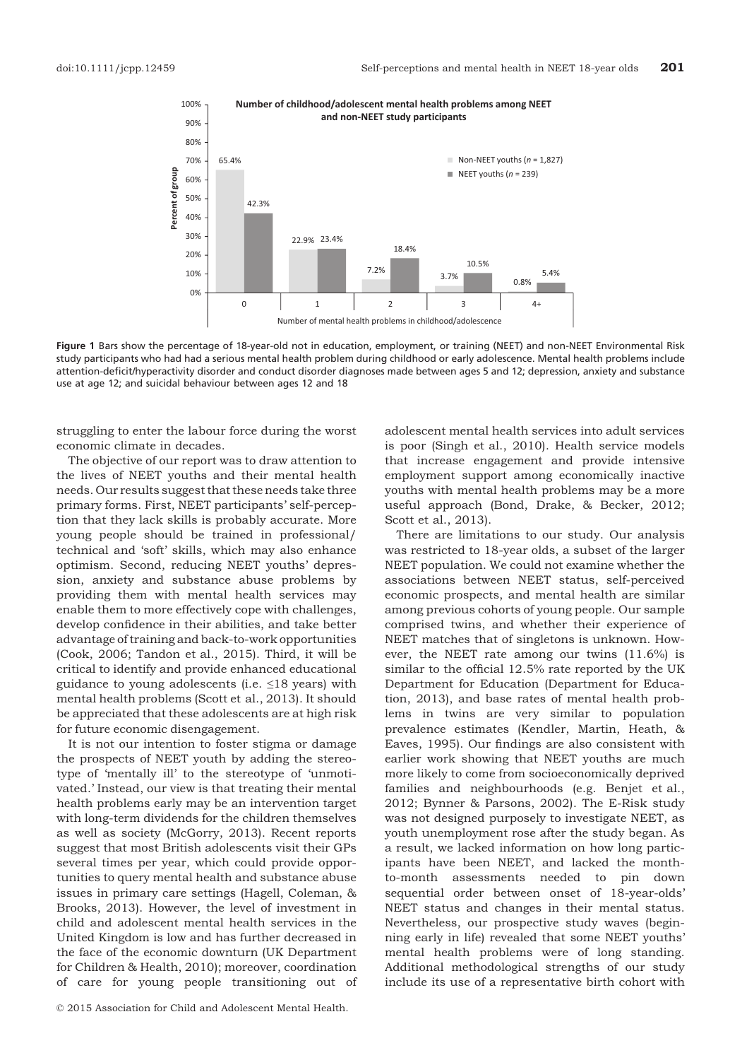

Figure 1 Bars show the percentage of 18-year-old not in education, employment, or training (NEET) and non-NEET Environmental Risk study participants who had had a serious mental health problem during childhood or early adolescence. Mental health problems include attention-deficit/hyperactivity disorder and conduct disorder diagnoses made between ages 5 and 12; depression, anxiety and substance use at age 12; and suicidal behaviour between ages 12 and 18

struggling to enter the labour force during the worst economic climate in decades.

The objective of our report was to draw attention to the lives of NEET youths and their mental health needs. Our results suggest that these needs take three primary forms. First, NEET participants' self-perception that they lack skills is probably accurate. More young people should be trained in professional/ technical and 'soft' skills, which may also enhance optimism. Second, reducing NEET youths' depression, anxiety and substance abuse problems by providing them with mental health services may enable them to more effectively cope with challenges, develop confidence in their abilities, and take better advantage of training and back-to-work opportunities (Cook, 2006; Tandon et al., 2015). Third, it will be critical to identify and provide enhanced educational guidance to young adolescents (i.e.  $\leq$ 18 years) with mental health problems (Scott et al., 2013). It should be appreciated that these adolescents are at high risk for future economic disengagement.

It is not our intention to foster stigma or damage the prospects of NEET youth by adding the stereotype of 'mentally ill' to the stereotype of 'unmotivated.' Instead, our view is that treating their mental health problems early may be an intervention target with long-term dividends for the children themselves as well as society (McGorry, 2013). Recent reports suggest that most British adolescents visit their GPs several times per year, which could provide opportunities to query mental health and substance abuse issues in primary care settings (Hagell, Coleman, & Brooks, 2013). However, the level of investment in child and adolescent mental health services in the United Kingdom is low and has further decreased in the face of the economic downturn (UK Department for Children & Health, 2010); moreover, coordination of care for young people transitioning out of

adolescent mental health services into adult services is poor (Singh et al., 2010). Health service models that increase engagement and provide intensive employment support among economically inactive youths with mental health problems may be a more useful approach (Bond, Drake, & Becker, 2012; Scott et al., 2013).

There are limitations to our study. Our analysis was restricted to 18-year olds, a subset of the larger NEET population. We could not examine whether the associations between NEET status, self-perceived economic prospects, and mental health are similar among previous cohorts of young people. Our sample comprised twins, and whether their experience of NEET matches that of singletons is unknown. However, the NEET rate among our twins (11.6%) is similar to the official 12.5% rate reported by the UK Department for Education (Department for Education, 2013), and base rates of mental health problems in twins are very similar to population prevalence estimates (Kendler, Martin, Heath, & Eaves, 1995). Our findings are also consistent with earlier work showing that NEET youths are much more likely to come from socioeconomically deprived families and neighbourhoods (e.g. Benjet et al., 2012; Bynner & Parsons, 2002). The E-Risk study was not designed purposely to investigate NEET, as youth unemployment rose after the study began. As a result, we lacked information on how long participants have been NEET, and lacked the monthto-month assessments needed to pin down sequential order between onset of 18-year-olds' NEET status and changes in their mental status. Nevertheless, our prospective study waves (beginning early in life) revealed that some NEET youths' mental health problems were of long standing. Additional methodological strengths of our study include its use of a representative birth cohort with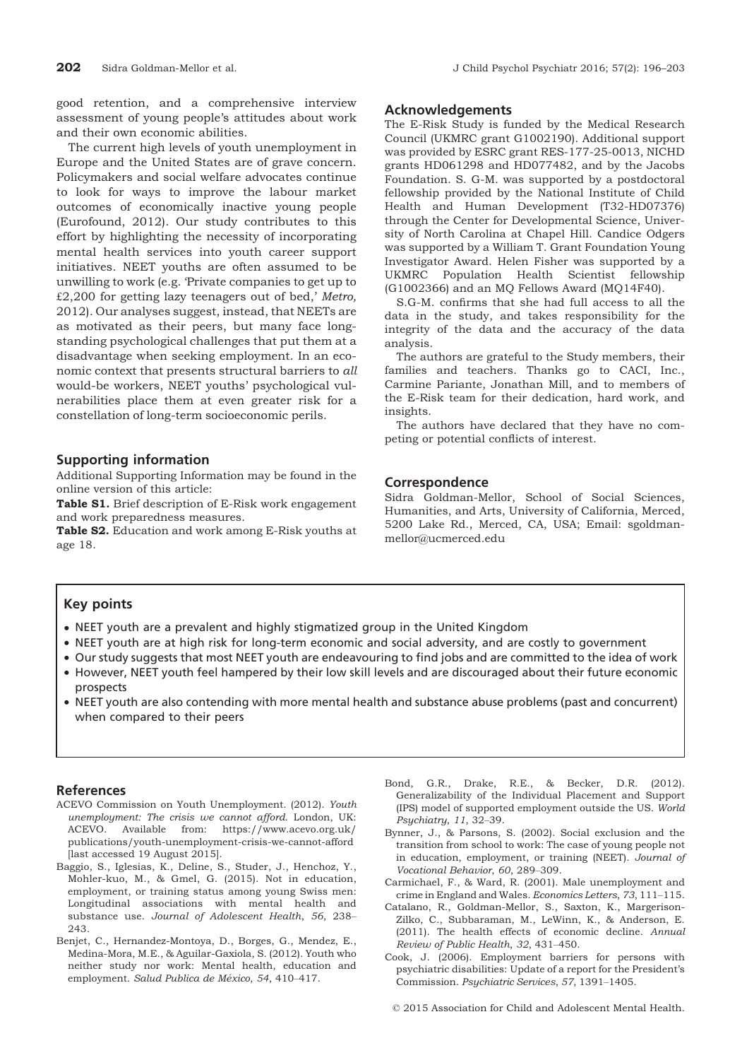good retention, and a comprehensive interview assessment of young people's attitudes about work and their own economic abilities.

The current high levels of youth unemployment in Europe and the United States are of grave concern. Policymakers and social welfare advocates continue to look for ways to improve the labour market outcomes of economically inactive young people (Eurofound, 2012). Our study contributes to this effort by highlighting the necessity of incorporating mental health services into youth career support initiatives. NEET youths are often assumed to be unwilling to work (e.g. 'Private companies to get up to £2,200 for getting lazy teenagers out of bed,' Metro, 2012). Our analyses suggest, instead, that NEETs are as motivated as their peers, but many face longstanding psychological challenges that put them at a disadvantage when seeking employment. In an economic context that presents structural barriers to all would-be workers, NEET youths' psychological vulnerabilities place them at even greater risk for a constellation of long-term socioeconomic perils.

## Supporting information

Additional Supporting Information may be found in the online version of this article:

Table S1. Brief description of E-Risk work engagement and work preparedness measures.

Table S2. Education and work among E-Risk youths at age 18.

#### Acknowledgements

The E-Risk Study is funded by the Medical Research Council (UKMRC grant G1002190). Additional support was provided by ESRC grant RES-177-25-0013, NICHD grants HD061298 and HD077482, and by the Jacobs Foundation. S. G-M. was supported by a postdoctoral fellowship provided by the National Institute of Child Health and Human Development (T32-HD07376) through the Center for Developmental Science, University of North Carolina at Chapel Hill. Candice Odgers was supported by a William T. Grant Foundation Young Investigator Award. Helen Fisher was supported by a UKMRC Population Health Scientist fellowship (G1002366) and an MQ Fellows Award (MQ14F40).

S.G-M. confirms that she had full access to all the data in the study, and takes responsibility for the integrity of the data and the accuracy of the data analysis.

The authors are grateful to the Study members, their families and teachers. Thanks go to CACI, Inc., Carmine Pariante, Jonathan Mill, and to members of the E-Risk team for their dedication, hard work, and insights.

The authors have declared that they have no competing or potential conflicts of interest.

#### Correspondence

Sidra Goldman-Mellor, School of Social Sciences, Humanities, and Arts, University of California, Merced, 5200 Lake Rd., Merced, CA, USA; Email: sgoldmanmellor@ucmerced.edu

# Key points

- NEET youth are a prevalent and highly stigmatized group in the United Kingdom
- NEET youth are at high risk for long-term economic and social adversity, and are costly to government
- Our study suggests that most NEET youth are endeavouring to find jobs and are committed to the idea of work • However, NEET youth feel hampered by their low skill levels and are discouraged about their future economic
- prospects
- NEET youth are also contending with more mental health and substance abuse problems (past and concurrent) when compared to their peers

#### References

- ACEVO Commission on Youth Unemployment. (2012). Youth unemployment: The crisis we cannot afford. London, UK: ACEVO. Available from: [https://www.acevo.org.uk/](https://www.acevo.org.uk/publications/youth-unemployment-crisis-we-cannot-afford) [publications/youth-unemployment-crisis-we-cannot-afford](https://www.acevo.org.uk/publications/youth-unemployment-crisis-we-cannot-afford) [last accessed 19 August 2015].
- Baggio, S., Iglesias, K., Deline, S., Studer, J., Henchoz, Y., Mohler-kuo, M., & Gmel, G. (2015). Not in education, employment, or training status among young Swiss men: Longitudinal associations with mental health and substance use. Journal of Adolescent Health, 56, 238– 243.
- Benjet, C., Hernandez-Montoya, D., Borges, G., Mendez, E., Medina-Mora, M.E., & Aguilar-Gaxiola, S. (2012). Youth who neither study nor work: Mental health, education and employment. Salud Publica de México, 54, 410-417.
- Bond, G.R., Drake, R.E., & Becker, D.R. (2012). Generalizability of the Individual Placement and Support (IPS) model of supported employment outside the US. World Psychiatry, 11, 32–39.
- Bynner, J., & Parsons, S. (2002). Social exclusion and the transition from school to work: The case of young people not in education, employment, or training (NEET). Journal of Vocational Behavior, 60, 289–309.
- Carmichael, F., & Ward, R. (2001). Male unemployment and crime in England and Wales. Economics Letters, 73, 111–115.
- Catalano, R., Goldman-Mellor, S., Saxton, K., Margerison-Zilko, C., Subbaraman, M., LeWinn, K., & Anderson, E. (2011). The health effects of economic decline. Annual Review of Public Health, 32, 431–450.
- Cook, J. (2006). Employment barriers for persons with psychiatric disabilities: Update of a report for the President's Commission. Psychiatric Services, 57, 1391–1405.

© 2015 Association for Child and Adolescent Mental Health.